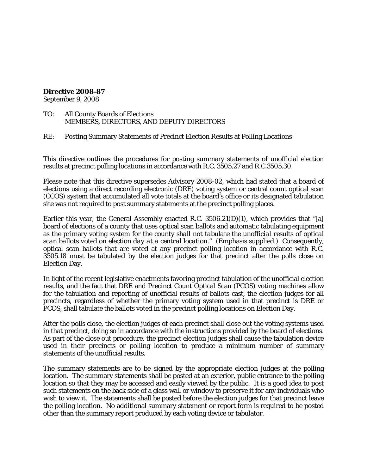#### **Directive 2008-87**

September 9, 2008

- TO: All County Boards of Elections MEMBERS, DIRECTORS, AND DEPUTY DIRECTORS
- RE: Posting Summary Statements of Precinct Election Results at Polling Locations

This directive outlines the procedures for posting summary statements of unofficial election results at precinct polling locations in accordance with R.C. 3505.27 and R.C.3505.30.

Please note that this directive supersedes Advisory 2008-02, which had stated that a board of elections using a direct recording electronic (DRE) voting system or central count optical scan (CCOS) system that accumulated all vote totals at the board's office or its designated tabulation site was not required to post summary statements at the precinct polling places.

Earlier this year, the General Assembly enacted R.C.  $3506.21(D)(1)$ , which provides that "[a] board of elections of a county that uses optical scan ballots and automatic tabulating equipment as the primary voting system for the county *shall not tabulate the unofficial results of optical scan ballots voted on election day at a central location*." (Emphasis supplied.) Consequently, optical scan ballots that are voted at any precinct polling location in accordance with R.C. 3505.18 must be tabulated by the election judges for that precinct after the polls close on Election Day.

In light of the recent legislative enactments favoring precinct tabulation of the unofficial election results, and the fact that DRE and Precinct Count Optical Scan (PCOS) voting machines allow for the tabulation and reporting of unofficial results of ballots cast, the election judges for all precincts, regardless of whether the primary voting system used in that precinct is DRE or PCOS, shall tabulate the ballots voted in the precinct polling locations on Election Day.

After the polls close, the election judges of each precinct shall close out the voting systems used in that precinct, doing so in accordance with the instructions provided by the board of elections. As part of the close out procedure, the precinct election judges shall cause the tabulation device used in their precincts or polling location to produce a minimum number of summary statements of the unofficial results.

The summary statements are to be signed by the appropriate election judges at the polling location. The summary statements shall be posted at an exterior, public entrance to the polling location so that they may be accessed and easily viewed by the public. It is a good idea to post such statements on the back side of a glass wall or window to preserve it for any individuals who wish to view it. The statements shall be posted before the election judges for that precinct leave the polling location. No additional summary statement or report form is required to be posted other than the summary report produced by each voting device or tabulator.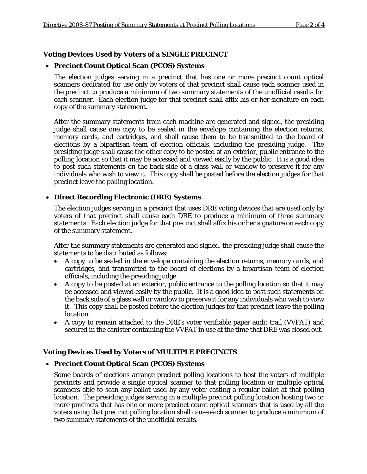## **Voting Devices Used by Voters of a SINGLE PRECINCT**

## • **Precinct Count Optical Scan (PCOS) Systems**

The election judges serving in a precinct that has one or more precinct count optical scanners dedicated for use only by voters of that precinct shall cause each scanner used in the precinct to produce a minimum of two summary statements of the unofficial results for each scanner. Each election judge for that precinct shall affix his or her signature on each copy of the summary statement.

After the summary statements from each machine are generated and signed, the presiding judge shall cause one copy to be sealed in the envelope containing the election returns, memory cards, and cartridges, and shall cause them to be transmitted to the board of elections by a bipartisan team of election officials, including the presiding judge. The presiding judge shall cause the other copy to be posted at an exterior, public entrance to the polling location so that it may be accessed and viewed easily by the public. It is a good idea to post such statements on the back side of a glass wall or window to preserve it for any individuals who wish to view it. This copy shall be posted before the election judges for that precinct leave the polling location.

#### • **Direct Recording Electronic (DRE) Systems**

The election judges serving in a precinct that uses DRE voting devices that are used only by voters of that precinct shall cause each DRE to produce a minimum of three summary statements. Each election judge for that precinct shall affix his or her signature on each copy of the summary statement.

After the summary statements are generated and signed, the presiding judge shall cause the statements to be distributed as follows:

- A copy to be sealed in the envelope containing the election returns, memory cards, and cartridges, and transmitted to the board of elections by a bipartisan team of election officials, including the presiding judge.
- A copy to be posted at an exterior, public entrance to the polling location so that it may be accessed and viewed easily by the public. It is a good idea to post such statements on the back side of a glass wall or window to preserve it for any individuals who wish to view it. This copy shall be posted before the election judges for that precinct leave the polling location.
- A copy to remain attached to the DRE's voter verifiable paper audit trail (VVPAT) and secured in the canister containing the VVPAT in use at the time that DRE was closed out.

## **Voting Devices Used by Voters of MULTIPLE PRECINCTS**

#### • **Precinct Count Optical Scan (PCOS) Systems**

Some boards of elections arrange precinct polling locations to host the voters of multiple precincts and provide a single optical scanner to that polling location or multiple optical scanners able to scan any ballot used by any voter casting a regular ballot at that polling location. The presiding judges serving in a multiple precinct polling location hosting two or more precincts that has one or more precinct count optical scanners that is used by all the voters using that precinct polling location shall cause each scanner to produce a minimum of two summary statements of the unofficial results.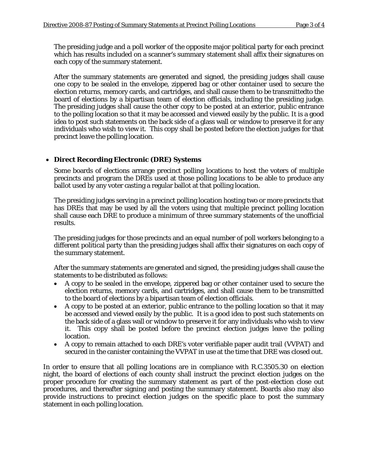The presiding judge and a poll worker of the opposite major political party for each precinct which has results included on a scanner's summary statement shall affix their signatures on each copy of the summary statement.

After the summary statements are generated and signed, the presiding judges shall cause one copy to be sealed in the envelope, zippered bag or other container used to secure the election returns, memory cards, and cartridges, and shall cause them to be transmittedto the board of elections by a bipartisan team of election officials, including the presiding judge. The presiding judges shall cause the other copy to be posted at an exterior, public entrance to the polling location so that it may be accessed and viewed easily by the public. It is a good idea to post such statements on the back side of a glass wall or window to preserve it for any individuals who wish to view it. This copy shall be posted before the election judges for that precinct leave the polling location.

# • **Direct Recording Electronic (DRE) Systems**

Some boards of elections arrange precinct polling locations to host the voters of multiple precincts and program the DREs used at those polling locations to be able to produce any ballot used by any voter casting a regular ballot at that polling location.

The presiding judges serving in a precinct polling location hosting two or more precincts that has DREs that may be used by all the voters using that multiple precinct polling location shall cause each DRE to produce a minimum of three summary statements of the unofficial results.

The presiding judges for those precincts and an equal number of poll workers belonging to a different political party than the presiding judges shall affix their signatures on each copy of the summary statement.

After the summary statements are generated and signed, the presiding judges shall cause the statements to be distributed as follows:

- A copy to be sealed in the envelope, zippered bag or other container used to secure the election returns, memory cards, and cartridges, and shall cause them to be transmitted to the board of elections by a bipartisan team of election officials.
- A copy to be posted at an exterior, public entrance to the polling location so that it may be accessed and viewed easily by the public. It is a good idea to post such statements on the back side of a glass wall or window to preserve it for any individuals who wish to view it. This copy shall be posted before the precinct election judges leave the polling location.
- A copy to remain attached to each DRE's voter verifiable paper audit trail (VVPAT) and secured in the canister containing the VVPAT in use at the time that DRE was closed out.

In order to ensure that all polling locations are in compliance with R.C.3505.30 on election night, the board of elections of each county shall instruct the precinct election judges on the proper procedure for creating the summary statement as part of the post-election close out procedures, and thereafter signing and posting the summary statement. Boards also may also provide instructions to precinct election judges on the specific place to post the summary statement in each polling location.